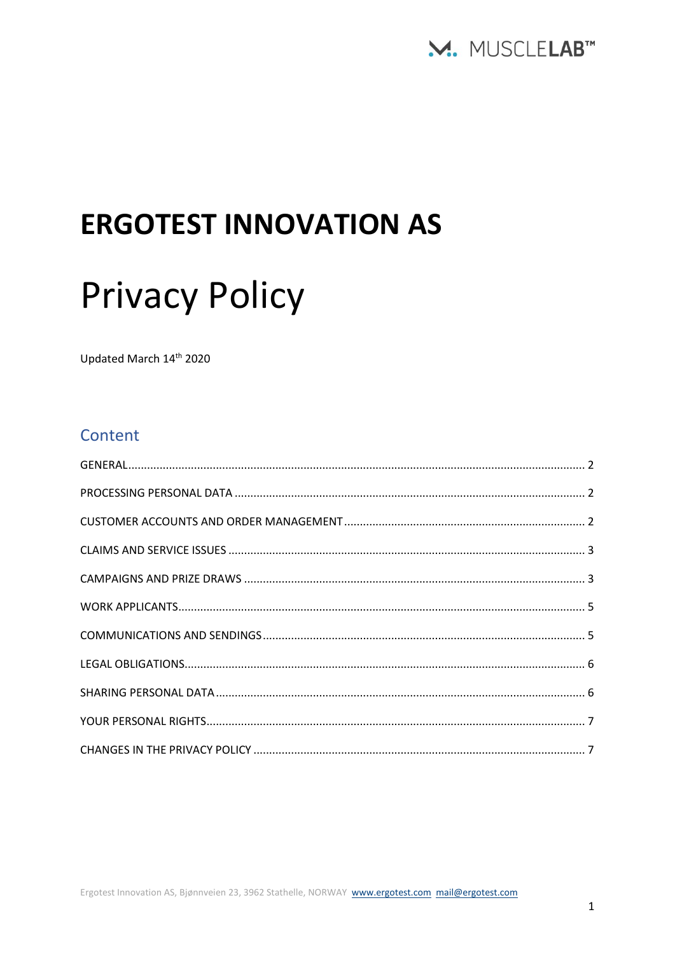

# **ERGOTEST INNOVATION AS**

# **Privacy Policy**

Updated March 14th 2020

# Content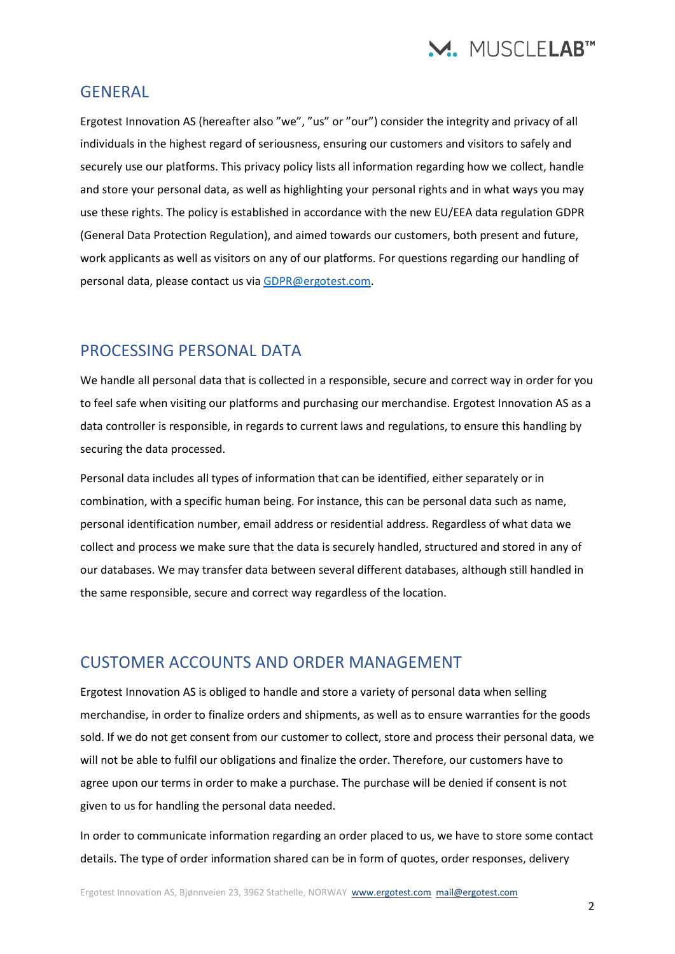

#### <span id="page-1-0"></span>**GENERAL**

Ergotest Innovation AS (hereafter also "we", "us" or "our") consider the integrity and privacy of all individuals in the highest regard of seriousness, ensuring our customers and visitors to safely and securely use our platforms. This privacy policy lists all information regarding how we collect, handle and store your personal data, as well as highlighting your personal rights and in what ways you may use these rights. The policy is established in accordance with the new EU/EEA data regulation GDPR (General Data Protection Regulation), and aimed towards our customers, both present and future, work applicants as well as visitors on any of our platforms. For questions regarding our handling of personal data, please contact us vi[a GDPR@ergotest.com.](mailto:GDPR@ergotest.com)

#### <span id="page-1-1"></span>PROCESSING PERSONAL DATA

We handle all personal data that is collected in a responsible, secure and correct way in order for you to feel safe when visiting our platforms and purchasing our merchandise. Ergotest Innovation AS as a data controller is responsible, in regards to current laws and regulations, to ensure this handling by securing the data processed.

Personal data includes all types of information that can be identified, either separately or in combination, with a specific human being. For instance, this can be personal data such as name, personal identification number, email address or residential address. Regardless of what data we collect and process we make sure that the data is securely handled, structured and stored in any of our databases. We may transfer data between several different databases, although still handled in the same responsible, secure and correct way regardless of the location.

#### <span id="page-1-2"></span>CUSTOMER ACCOUNTS AND ORDER MANAGEMENT

Ergotest Innovation AS is obliged to handle and store a variety of personal data when selling merchandise, in order to finalize orders and shipments, as well as to ensure warranties for the goods sold. If we do not get consent from our customer to collect, store and process their personal data, we will not be able to fulfil our obligations and finalize the order. Therefore, our customers have to agree upon our terms in order to make a purchase. The purchase will be denied if consent is not given to us for handling the personal data needed.

In order to communicate information regarding an order placed to us, we have to store some contact details. The type of order information shared can be in form of quotes, order responses, delivery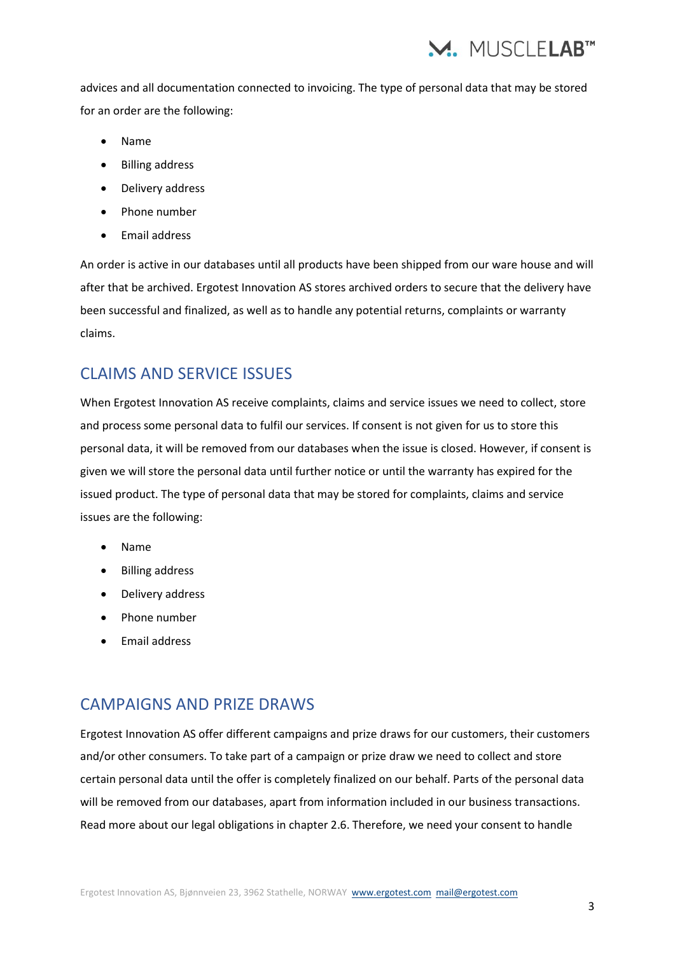

advices and all documentation connected to invoicing. The type of personal data that may be stored for an order are the following:

- Name
- Billing address
- Delivery address
- Phone number
- Email address

An order is active in our databases until all products have been shipped from our ware house and will after that be archived. Ergotest Innovation AS stores archived orders to secure that the delivery have been successful and finalized, as well as to handle any potential returns, complaints or warranty claims.

# <span id="page-2-0"></span>CLAIMS AND SERVICE ISSUES

When Ergotest Innovation AS receive complaints, claims and service issues we need to collect, store and process some personal data to fulfil our services. If consent is not given for us to store this personal data, it will be removed from our databases when the issue is closed. However, if consent is given we will store the personal data until further notice or until the warranty has expired for the issued product. The type of personal data that may be stored for complaints, claims and service issues are the following:

- Name
- Billing address
- Delivery address
- Phone number
- Email address

#### <span id="page-2-1"></span>CAMPAIGNS AND PRIZE DRAWS

Ergotest Innovation AS offer different campaigns and prize draws for our customers, their customers and/or other consumers. To take part of a campaign or prize draw we need to collect and store certain personal data until the offer is completely finalized on our behalf. Parts of the personal data will be removed from our databases, apart from information included in our business transactions. Read more about our legal obligations in chapter 2.6. Therefore, we need your consent to handle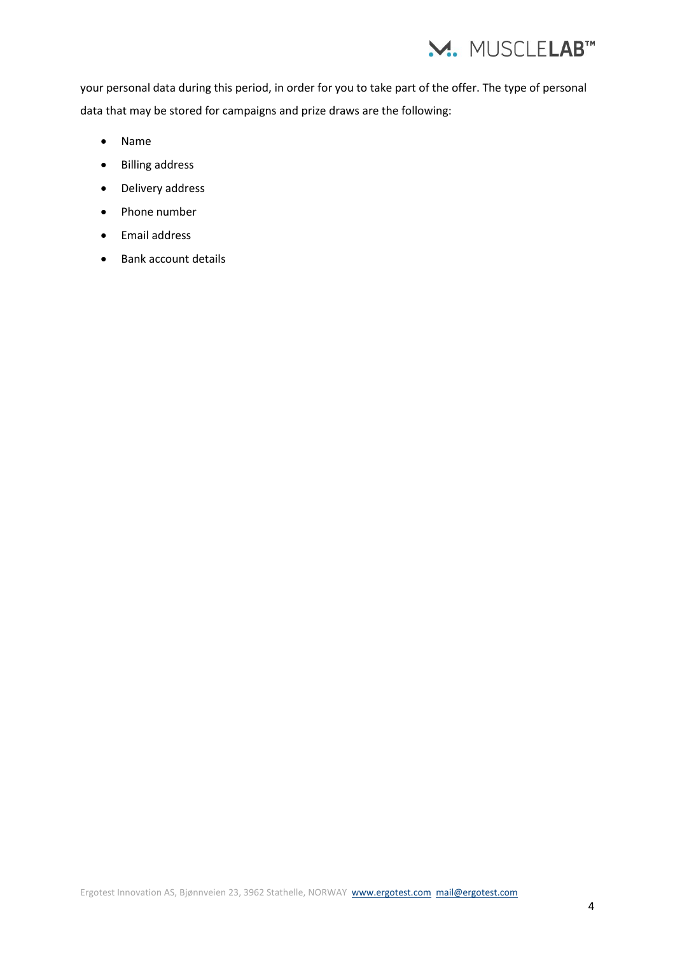

your personal data during this period, in order for you to take part of the offer. The type of personal data that may be stored for campaigns and prize draws are the following:

- Name
- Billing address
- Delivery address
- Phone number
- Email address
- Bank account details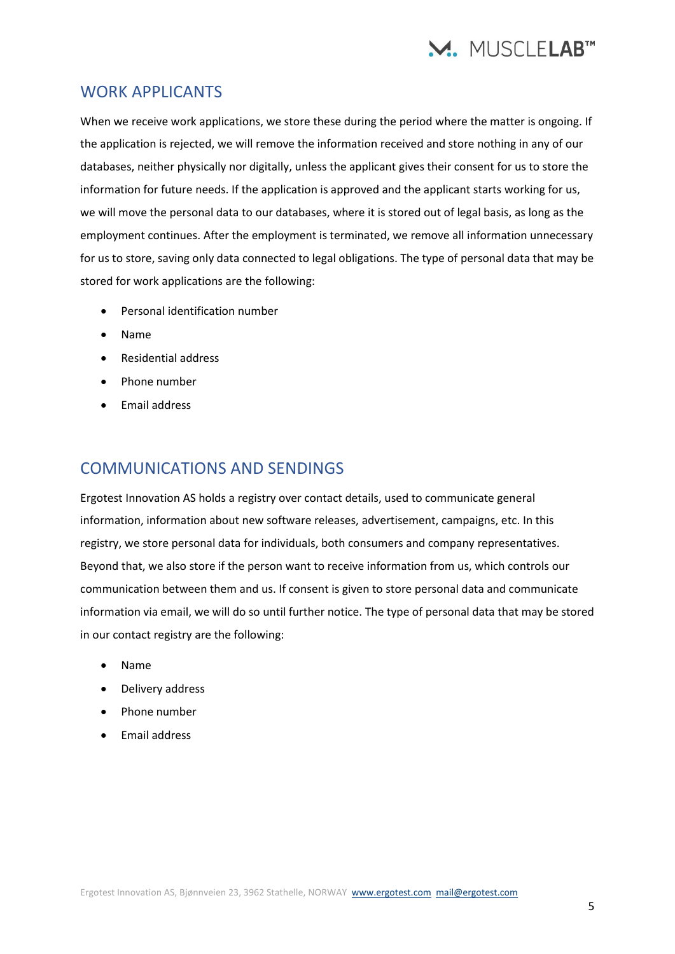

#### <span id="page-4-0"></span>WORK APPLICANTS

When we receive work applications, we store these during the period where the matter is ongoing. If the application is rejected, we will remove the information received and store nothing in any of our databases, neither physically nor digitally, unless the applicant gives their consent for us to store the information for future needs. If the application is approved and the applicant starts working for us, we will move the personal data to our databases, where it is stored out of legal basis, as long as the employment continues. After the employment is terminated, we remove all information unnecessary for us to store, saving only data connected to legal obligations. The type of personal data that may be stored for work applications are the following:

- Personal identification number
- Name
- Residential address
- Phone number
- Email address

# <span id="page-4-1"></span>COMMUNICATIONS AND SENDINGS

Ergotest Innovation AS holds a registry over contact details, used to communicate general information, information about new software releases, advertisement, campaigns, etc. In this registry, we store personal data for individuals, both consumers and company representatives. Beyond that, we also store if the person want to receive information from us, which controls our communication between them and us. If consent is given to store personal data and communicate information via email, we will do so until further notice. The type of personal data that may be stored in our contact registry are the following:

- Name
- Delivery address
- Phone number
- Email address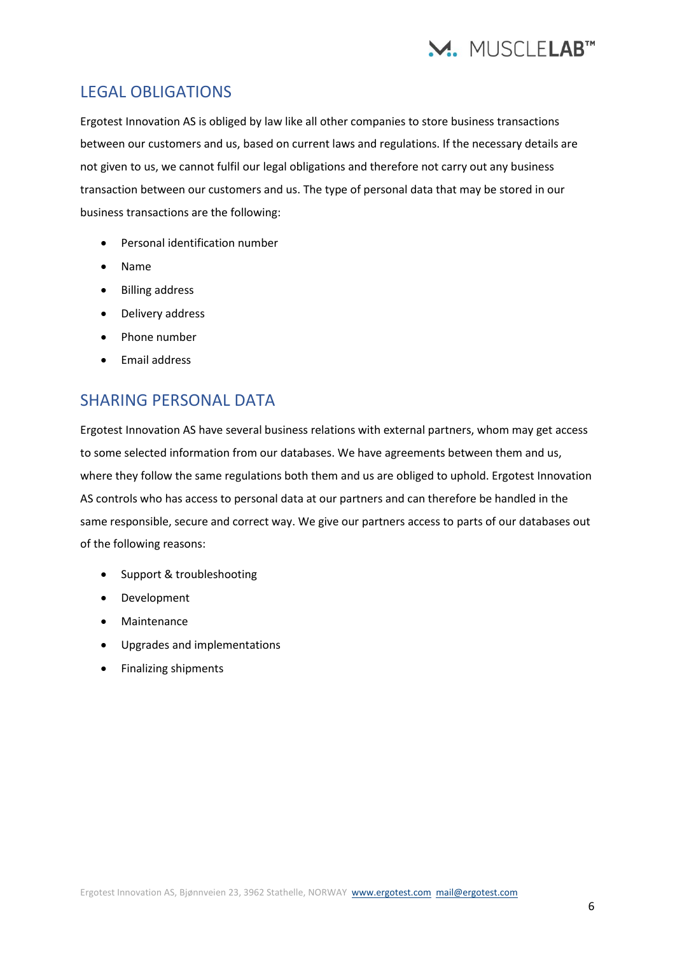

# <span id="page-5-0"></span>LEGAL OBLIGATIONS

Ergotest Innovation AS is obliged by law like all other companies to store business transactions between our customers and us, based on current laws and regulations. If the necessary details are not given to us, we cannot fulfil our legal obligations and therefore not carry out any business transaction between our customers and us. The type of personal data that may be stored in our business transactions are the following:

- Personal identification number
- Name
- Billing address
- Delivery address
- Phone number
- Email address

### <span id="page-5-1"></span>SHARING PERSONAL DATA

Ergotest Innovation AS have several business relations with external partners, whom may get access to some selected information from our databases. We have agreements between them and us, where they follow the same regulations both them and us are obliged to uphold. Ergotest Innovation AS controls who has access to personal data at our partners and can therefore be handled in the same responsible, secure and correct way. We give our partners access to parts of our databases out of the following reasons:

- Support & troubleshooting
- Development
- Maintenance
- Upgrades and implementations
- Finalizing shipments